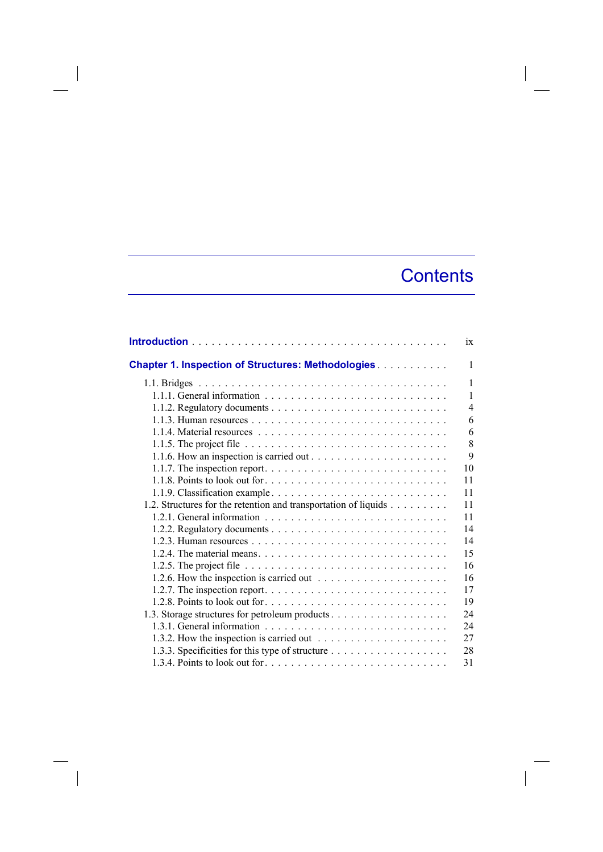## **Contents**

|                                                                                                   | $\overline{1}x$ |
|---------------------------------------------------------------------------------------------------|-----------------|
| <b>Chapter 1. Inspection of Structures: Methodologies</b>                                         | 1               |
|                                                                                                   | 1               |
|                                                                                                   | 1               |
|                                                                                                   | $\overline{4}$  |
|                                                                                                   | 6               |
|                                                                                                   | 6               |
| 1.1.5. The project file $\ldots \ldots \ldots \ldots \ldots \ldots \ldots \ldots \ldots \ldots$   | 8               |
|                                                                                                   | 9               |
|                                                                                                   | 10              |
|                                                                                                   | 11              |
|                                                                                                   | 11              |
| 1.2. Structures for the retention and transportation of liquids                                   | 11              |
|                                                                                                   | 11              |
|                                                                                                   | 14              |
|                                                                                                   | 14              |
|                                                                                                   | 15              |
|                                                                                                   | 16              |
| 1.2.6. How the inspection is carried out $\dots \dots \dots \dots \dots \dots \dots$              | 16              |
| 1.2.7. The inspection report. $\dots \dots \dots \dots \dots \dots \dots \dots \dots \dots \dots$ | 17              |
|                                                                                                   | 19              |
| 1.3. Storage structures for petroleum products                                                    | 24              |
|                                                                                                   | 24              |
| 1.3.2. How the inspection is carried out $\dots \dots \dots \dots \dots \dots \dots$              | 27              |
|                                                                                                   | 28              |
|                                                                                                   | 31              |

 $\overline{\phantom{a}}$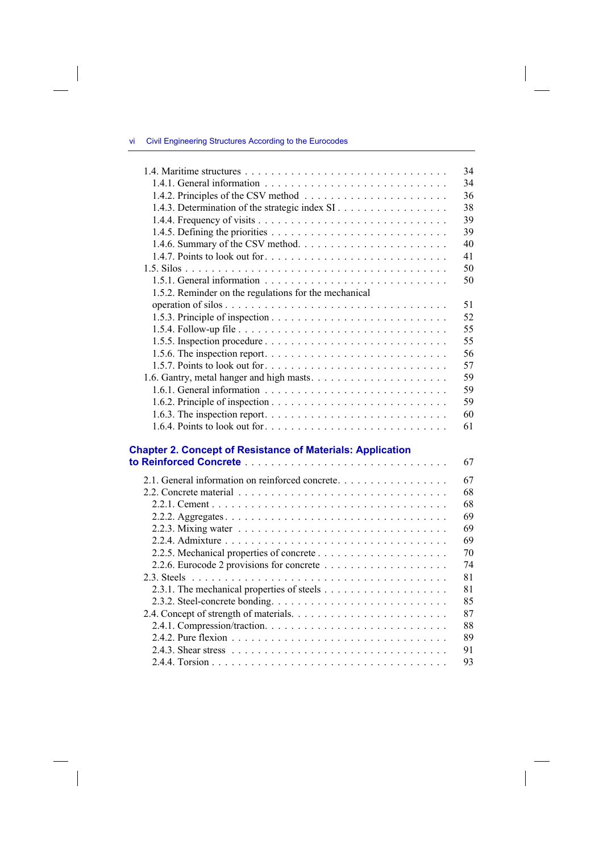## vi Civil Engineering Structures According to the Eurocodes

 $\overline{\phantom{a}}$ 

 $\overline{\phantom{a}}$ 

| 34                                                                |
|-------------------------------------------------------------------|
| 34                                                                |
| 36                                                                |
| 1.4.3. Determination of the strategic index SI<br>38              |
| 39                                                                |
| 39                                                                |
| 40                                                                |
| 41                                                                |
| 50                                                                |
| 50                                                                |
| 1.5.2. Reminder on the regulations for the mechanical             |
| 51                                                                |
| 52                                                                |
| 55                                                                |
| 55                                                                |
| 56                                                                |
| 57                                                                |
| 1.6. Gantry, metal hanger and high masts<br>59                    |
| 59                                                                |
| 59                                                                |
| 60                                                                |
| 61                                                                |
|                                                                   |
| <b>Chapter 2. Concept of Resistance of Materials: Application</b> |
| 67                                                                |
| 2.1. General information on reinforced concrete<br>67             |
| 68                                                                |
| 68                                                                |
| 69                                                                |
| 69                                                                |
| 69                                                                |
| 70                                                                |
| 74                                                                |
| 81                                                                |
|                                                                   |
| 81                                                                |
| 85                                                                |
| 87                                                                |
| 88                                                                |
| 89                                                                |
| 91                                                                |
| 93                                                                |

 $\Big|$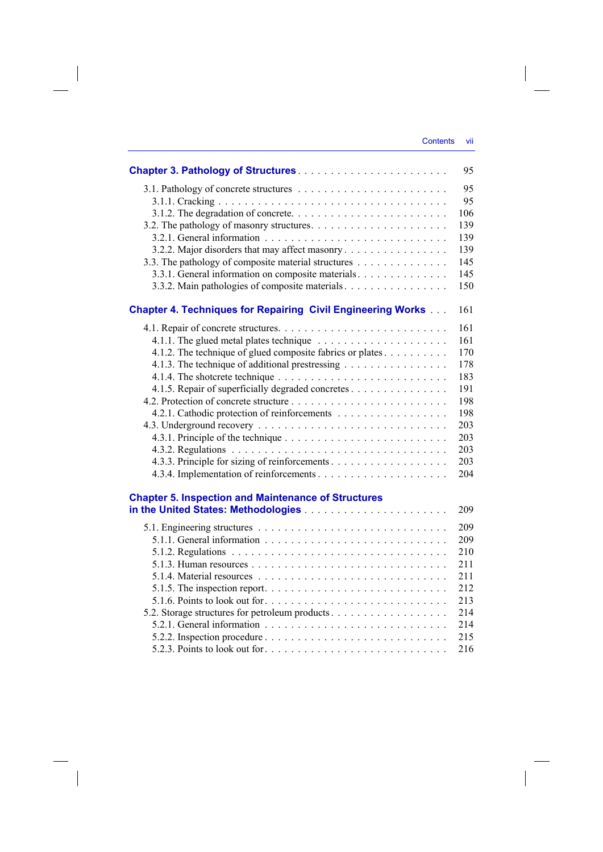|                                                                                                   | 95  |
|---------------------------------------------------------------------------------------------------|-----|
|                                                                                                   | 95  |
|                                                                                                   | 95  |
|                                                                                                   | 106 |
|                                                                                                   | 139 |
|                                                                                                   | 139 |
| 3.2.2. Major disorders that may affect masonry                                                    | 139 |
| 3.3. The pathology of composite material structures                                               | 145 |
| 3.3.1. General information on composite materials                                                 | 145 |
| 3.3.2. Main pathologies of composite materials                                                    | 150 |
| <b>Chapter 4. Techniques for Repairing Civil Engineering Works </b>                               | 161 |
|                                                                                                   | 161 |
|                                                                                                   | 161 |
| 4.1.2. The technique of glued composite fabrics or plates                                         | 170 |
| 4.1.3. The technique of additional prestressing                                                   | 178 |
|                                                                                                   | 183 |
| 4.1.5. Repair of superficially degraded concretes                                                 | 191 |
|                                                                                                   | 198 |
| 4.2.1. Cathodic protection of reinforcements                                                      | 198 |
|                                                                                                   | 203 |
|                                                                                                   | 203 |
|                                                                                                   | 203 |
|                                                                                                   | 203 |
|                                                                                                   | 204 |
| <b>Chapter 5. Inspection and Maintenance of Structures</b>                                        |     |
|                                                                                                   | 209 |
|                                                                                                   | 209 |
|                                                                                                   | 209 |
|                                                                                                   | 210 |
|                                                                                                   | 211 |
|                                                                                                   | 211 |
|                                                                                                   | 212 |
| 5.1.6. Points to look out for $\dots \dots \dots \dots \dots \dots \dots \dots \dots \dots \dots$ | 213 |
|                                                                                                   | 214 |
|                                                                                                   | 214 |
|                                                                                                   | 215 |
| 5.2.3. Points to look out for                                                                     | 216 |